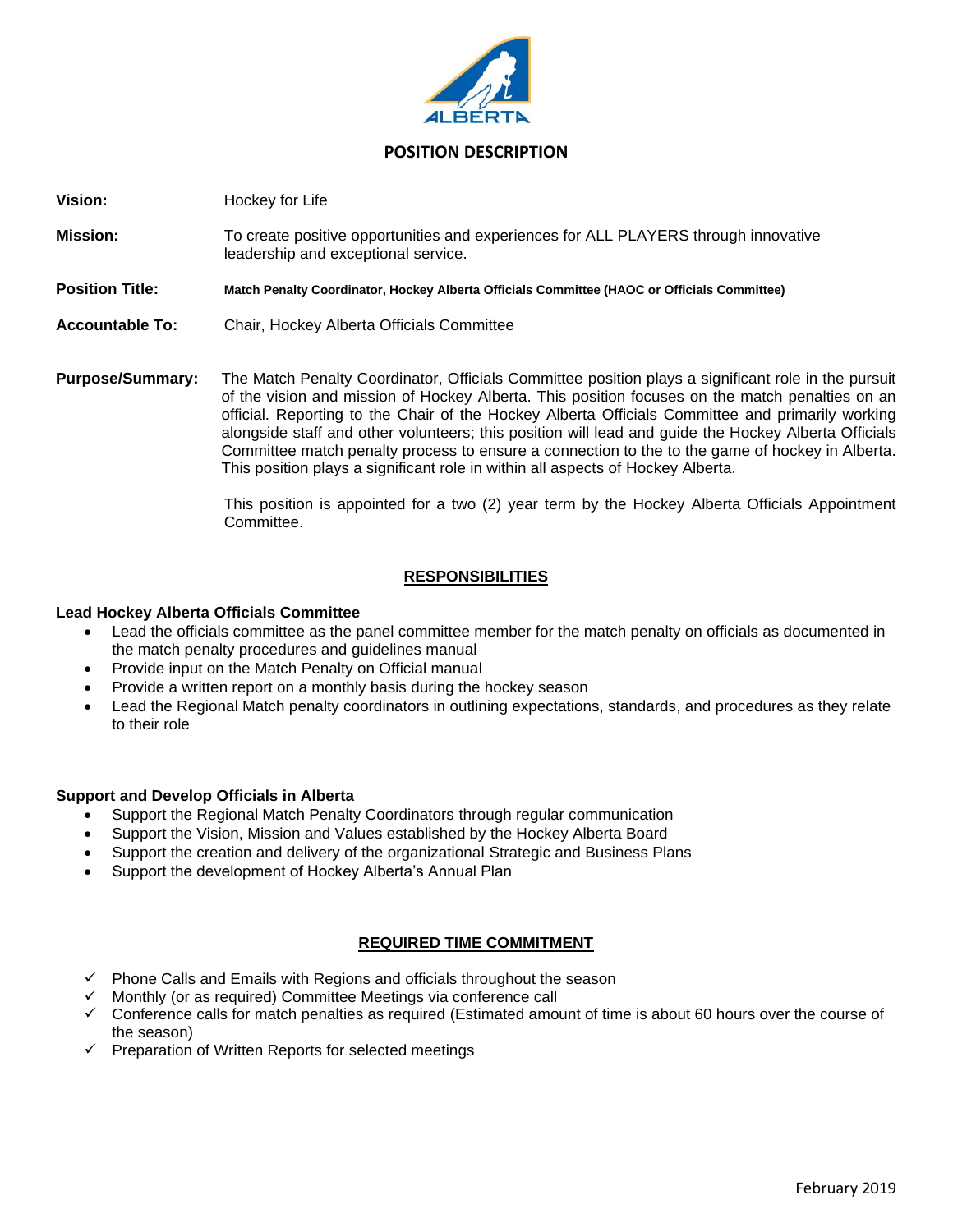

### **POSITION DESCRIPTION**

**Vision:** Hockey for Life **Mission:** To create positive opportunities and experiences for ALL PLAYERS through innovative leadership and exceptional service. **Position Title: Match Penalty Coordinator, Hockey Alberta Officials Committee (HAOC or Officials Committee) Accountable To:** Chair, Hockey Alberta Officials Committee **Purpose/Summary:** The Match Penalty Coordinator, Officials Committee position plays a significant role in the pursuit of the vision and mission of Hockey Alberta. This position focuses on the match penalties on an official. Reporting to the Chair of the Hockey Alberta Officials Committee and primarily working alongside staff and other volunteers; this position will lead and guide the Hockey Alberta Officials Committee match penalty process to ensure a connection to the to the game of hockey in Alberta. This position plays a significant role in within all aspects of Hockey Alberta. This position is appointed for a two (2) year term by the Hockey Alberta Officials Appointment

### **RESPONSIBILITIES**

#### **Lead Hockey Alberta Officials Committee**

- Lead the officials committee as the panel committee member for the match penalty on officials as documented in the match penalty procedures and guidelines manual
- Provide input on the Match Penalty on Official manual

Committee.

- Provide a written report on a monthly basis during the hockey season
- Lead the Regional Match penalty coordinators in outlining expectations, standards, and procedures as they relate to their role

#### **Support and Develop Officials in Alberta**

- Support the Regional Match Penalty Coordinators through regular communication
- Support the Vision, Mission and Values established by the Hockey Alberta Board
- Support the creation and delivery of the organizational Strategic and Business Plans
- Support the development of Hockey Alberta's Annual Plan

#### **REQUIRED TIME COMMITMENT**

- Phone Calls and Emails with Regions and officials throughout the season
- Monthly (or as required) Committee Meetings via conference call
- ✓ Conference calls for match penalties as required (Estimated amount of time is about 60 hours over the course of the season)
- ✓ Preparation of Written Reports for selected meetings